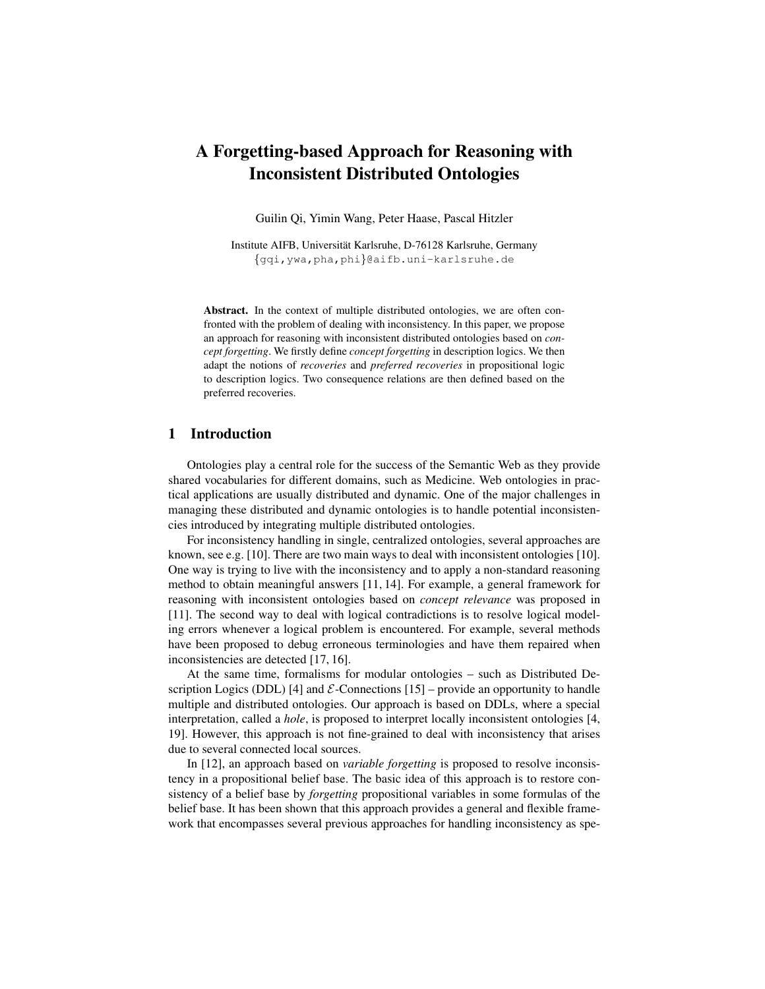# A Forgetting-based Approach for Reasoning with Inconsistent Distributed Ontologies

Guilin Qi, Yimin Wang, Peter Haase, Pascal Hitzler

Institute AIFB, Universitat Karlsruhe, D-76128 Karlsruhe, Germany ¨ {gqi,ywa,pha,phi}@aifb.uni-karlsruhe.de

Abstract. In the context of multiple distributed ontologies, we are often confronted with the problem of dealing with inconsistency. In this paper, we propose an approach for reasoning with inconsistent distributed ontologies based on *concept forgetting*. We firstly define *concept forgetting* in description logics. We then adapt the notions of *recoveries* and *preferred recoveries* in propositional logic to description logics. Two consequence relations are then defined based on the preferred recoveries.

## 1 Introduction

Ontologies play a central role for the success of the Semantic Web as they provide shared vocabularies for different domains, such as Medicine. Web ontologies in practical applications are usually distributed and dynamic. One of the major challenges in managing these distributed and dynamic ontologies is to handle potential inconsistencies introduced by integrating multiple distributed ontologies.

For inconsistency handling in single, centralized ontologies, several approaches are known, see e.g. [10]. There are two main ways to deal with inconsistent ontologies [10]. One way is trying to live with the inconsistency and to apply a non-standard reasoning method to obtain meaningful answers [11, 14]. For example, a general framework for reasoning with inconsistent ontologies based on *concept relevance* was proposed in [11]. The second way to deal with logical contradictions is to resolve logical modeling errors whenever a logical problem is encountered. For example, several methods have been proposed to debug erroneous terminologies and have them repaired when inconsistencies are detected [17, 16].

At the same time, formalisms for modular ontologies – such as Distributed Description Logics (DDL) [4] and  $\mathcal{E}\text{-}\text{Connections}$  [15] – provide an opportunity to handle multiple and distributed ontologies. Our approach is based on DDLs, where a special interpretation, called a *hole*, is proposed to interpret locally inconsistent ontologies [4, 19]. However, this approach is not fine-grained to deal with inconsistency that arises due to several connected local sources.

In [12], an approach based on *variable forgetting* is proposed to resolve inconsistency in a propositional belief base. The basic idea of this approach is to restore consistency of a belief base by *forgetting* propositional variables in some formulas of the belief base. It has been shown that this approach provides a general and flexible framework that encompasses several previous approaches for handling inconsistency as spe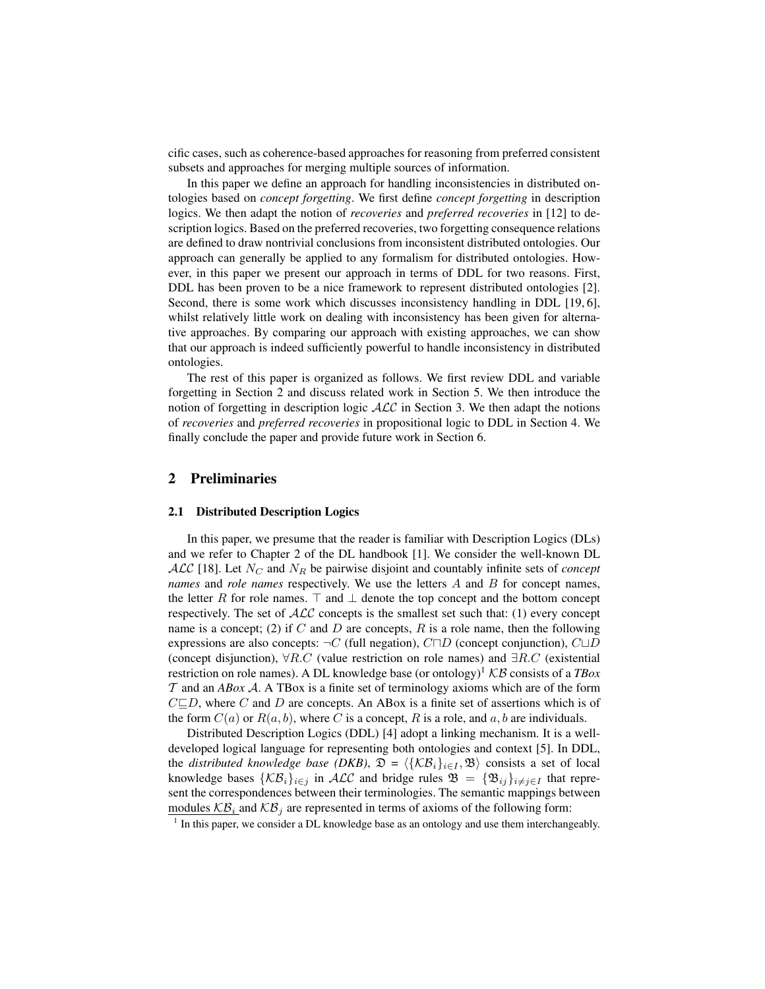cific cases, such as coherence-based approaches for reasoning from preferred consistent subsets and approaches for merging multiple sources of information.

In this paper we define an approach for handling inconsistencies in distributed ontologies based on *concept forgetting*. We first define *concept forgetting* in description logics. We then adapt the notion of *recoveries* and *preferred recoveries* in [12] to description logics. Based on the preferred recoveries, two forgetting consequence relations are defined to draw nontrivial conclusions from inconsistent distributed ontologies. Our approach can generally be applied to any formalism for distributed ontologies. However, in this paper we present our approach in terms of DDL for two reasons. First, DDL has been proven to be a nice framework to represent distributed ontologies [2]. Second, there is some work which discusses inconsistency handling in DDL [19, 6], whilst relatively little work on dealing with inconsistency has been given for alternative approaches. By comparing our approach with existing approaches, we can show that our approach is indeed sufficiently powerful to handle inconsistency in distributed ontologies.

The rest of this paper is organized as follows. We first review DDL and variable forgetting in Section 2 and discuss related work in Section 5. We then introduce the notion of forgetting in description logic  $\text{ALC}$  in Section 3. We then adapt the notions of *recoveries* and *preferred recoveries* in propositional logic to DDL in Section 4. We finally conclude the paper and provide future work in Section 6.

## 2 Preliminaries

#### 2.1 Distributed Description Logics

In this paper, we presume that the reader is familiar with Description Logics (DLs) and we refer to Chapter 2 of the DL handbook [1]. We consider the well-known DL  $\mathcal{ALC}$  [18]. Let  $N_C$  and  $N_R$  be pairwise disjoint and countably infinite sets of *concept names* and *role names* respectively. We use the letters A and B for concept names, the letter R for role names.  $\top$  and  $\bot$  denote the top concept and the bottom concept respectively. The set of  $ALC$  concepts is the smallest set such that: (1) every concept name is a concept; (2) if C and D are concepts, R is a role name, then the following expressions are also concepts:  $\neg C$  (full negation),  $C \Box D$  (concept conjunction),  $C \Box D$ (concept disjunction),  $\forall R.C$  (value restriction on role names) and  $\exists R.C$  (existential restriction on role names). A DL knowledge base (or ontology)<sup>1</sup>  $KB$  consists of a *TBox* T and an *ABox* A. A TBox is a finite set of terminology axioms which are of the form  $C \square D$ , where C and D are concepts. An ABox is a finite set of assertions which is of the form  $C(a)$  or  $R(a, b)$ , where C is a concept, R is a role, and a, b are individuals.

Distributed Description Logics (DDL) [4] adopt a linking mechanism. It is a welldeveloped logical language for representing both ontologies and context [5]. In DDL, the *distributed knowledge base (DKB)*,  $\mathfrak{D} = \langle {\mathcal{K}}{\mathcal{B}}_i \rangle_{i \in I}$ ,  $\mathfrak{B} \rangle$  consists a set of local knowledge bases  $\{\mathcal{KB}_i\}_{i\in j}$  in  $\mathcal{ALC}$  and bridge rules  $\mathfrak{B} = {\mathfrak{B}}_{ij}\}_{i\neq j\in I}$  that represent the correspondences between their terminologies. The semantic mappings between modules  $\mathcal{KB}_i$  and  $\mathcal{KB}_j$  are represented in terms of axioms of the following form:

 $<sup>1</sup>$  In this paper, we consider a DL knowledge base as an ontology and use them interchangeably.</sup>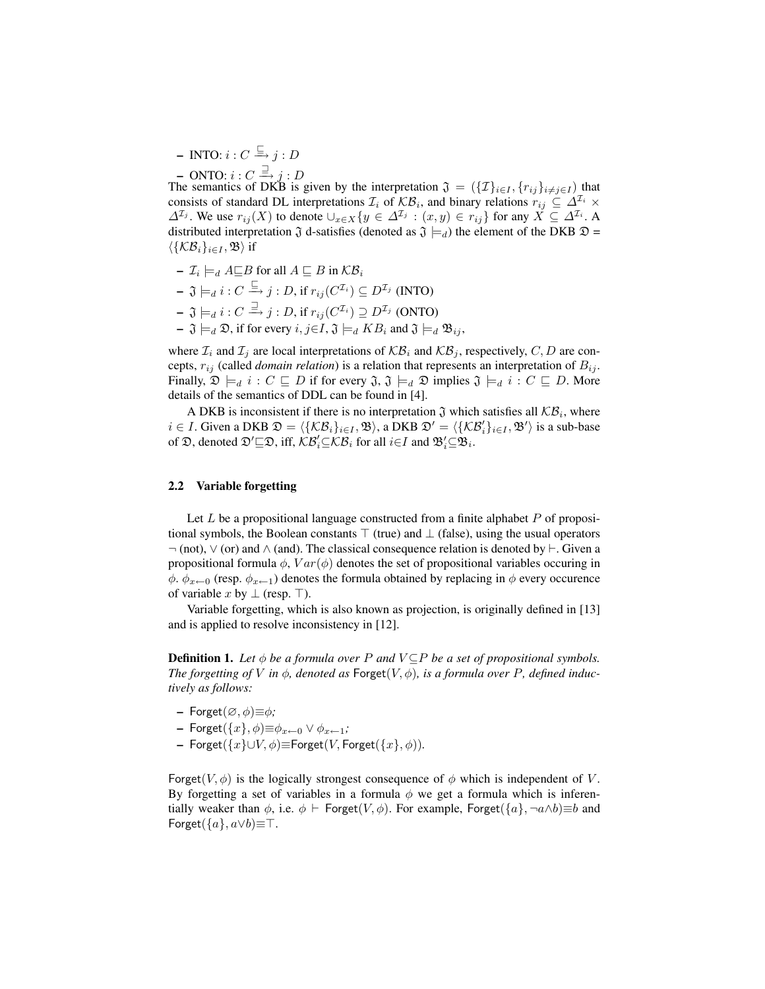$-$  INTO:  $i: C \overset{\sqsubseteq} \rightarrow j: D$ 

 $-$  ONTO:  $i: C \stackrel{\supset}{\longrightarrow} j: D$ 

The semantics of DKB is given by the interpretation  $\mathfrak{J} = (\{\mathcal{I}\}_{i\in I}, \{r_{ij}\}_{i\neq j\in I})$  that consists of standard DL interpretations  $\mathcal{I}_i$  of  $\mathcal{KB}_i$ , and binary relations  $r_{ij} \subseteq \Delta^{\mathcal{I}_i} \times$  $\Delta^{\mathcal{I}_j}$ . We use  $r_{ij}(X)$  to denote  $\cup_{x\in X}\{y\in \Delta^{\mathcal{I}_j} : (x,y)\in r_{ij}\}$  for any  $X\subseteq \Delta^{\mathcal{I}_i}$ . A distributed interpretation  $\mathfrak J$  d-satisfies (denoted as  $\mathfrak J \models_d$ ) the element of the DKB  $\mathfrak D$  =  $\langle {\{\mathcal{KB}_i\}}_{i\in I},\mathfrak{B} \rangle$  if

- $\mathcal{I}_i \models_d A \sqsubseteq B$  for all  $A \sqsubseteq B$  in  $\mathcal{KB}_i$
- $\mathfrak{J}\models_{d} i : C \stackrel{\sqsubseteq}{\rightarrow} j : D,$  if  $r_{ij}(C^{\mathcal{I}_{i}}) \subseteq D^{\mathcal{I}_{j}}$  (INTO)
- $\mathfrak{J}\models_{d} i : C \stackrel{\supset}{\rightarrow} j : D,$  if  $r_{ij}(C^{\mathcal{I}_{i}}) \supseteq D^{\mathcal{I}_{j}}$  (ONTO)
- $\mathfrak{J} \models_d \mathfrak{D}$ , if for every  $i, j \in I$ ,  $\mathfrak{J} \models_d K B_i$  and  $\mathfrak{J} \models_d \mathfrak{B}_{ij}$ ,

where  $\mathcal{I}_i$  and  $\mathcal{I}_j$  are local interpretations of  $\mathcal{KB}_i$  and  $\mathcal{KB}_j$ , respectively, C, D are concepts,  $r_{ij}$  (called *domain relation*) is a relation that represents an interpretation of  $B_{ij}$ . Finally,  $\mathfrak{D} \models_d i : C \sqsubseteq D$  if for every  $\mathfrak{J}, \mathfrak{J} \models_d \mathfrak{D}$  implies  $\mathfrak{J} \models_d i : C \sqsubseteq D$ . More details of the semantics of DDL can be found in [4].

A DKB is inconsistent if there is no interpretation  $\mathfrak J$  which satisfies all  $\mathcal{KB}_i$ , where  $i \in I$ . Given a DKB  $\mathfrak{D} = \langle \{ \mathcal{KB}_i \}_{i \in I}, \mathfrak{B} \rangle$ , a DKB  $\mathfrak{D}' = \langle \{ \mathcal{KB}_i' \}_{i \in I}, \mathfrak{B}' \rangle$  is a sub-base of  $\mathfrak{D}$ , denoted  $\mathfrak{D}' \square \mathfrak{D}$ , iff,  $\mathcal{KB}_i' \square \mathcal{KB}_i$  for all  $i \in I$  and  $\mathfrak{B}'_i \square \mathfrak{B}_i$ .

### 2.2 Variable forgetting

Let  $L$  be a propositional language constructed from a finite alphabet  $P$  of propositional symbols, the Boolean constants  $\top$  (true) and  $\bot$  (false), using the usual operators ¬ (not), ∨ (or) and ∧ (and). The classical consequence relation is denoted by `. Given a propositional formula  $\phi$ ,  $Var(\phi)$  denotes the set of propositional variables occuring in  $\phi$ .  $\phi_{x\leftarrow 0}$  (resp.  $\phi_{x\leftarrow 1}$ ) denotes the formula obtained by replacing in  $\phi$  every occurence of variable x by  $\perp$  (resp.  $\perp$ ).

Variable forgetting, which is also known as projection, is originally defined in [13] and is applied to resolve inconsistency in [12].

**Definition 1.** *Let*  $\phi$  *be a formula over P and*  $V \subseteq P$  *be a set of propositional symbols. The forgetting of V* in  $\phi$ , denoted as Forget( $V$ ,  $\phi$ ), is a formula over P, defined induc*tively as follows:*

- Forget $(\emptyset, \phi) \equiv \phi$ ;
- Forget({x}, φ)≡φx←<sup>0</sup> ∨ φx←1*;*
- Forget({x}∪V, φ)≡Forget(V, Forget({x}, φ))*.*

Forget( $V, \phi$ ) is the logically strongest consequence of  $\phi$  which is independent of V. By forgetting a set of variables in a formula  $\phi$  we get a formula which is inferentially weaker than  $\phi$ , i.e.  $\phi \vdash$  Forget( $V, \phi$ ). For example, Forget( $\{a\}, \neg a \wedge b$ ) $\equiv b$  and Forget( $\{a\}$ ,  $a \vee b$ ) $\equiv$ T.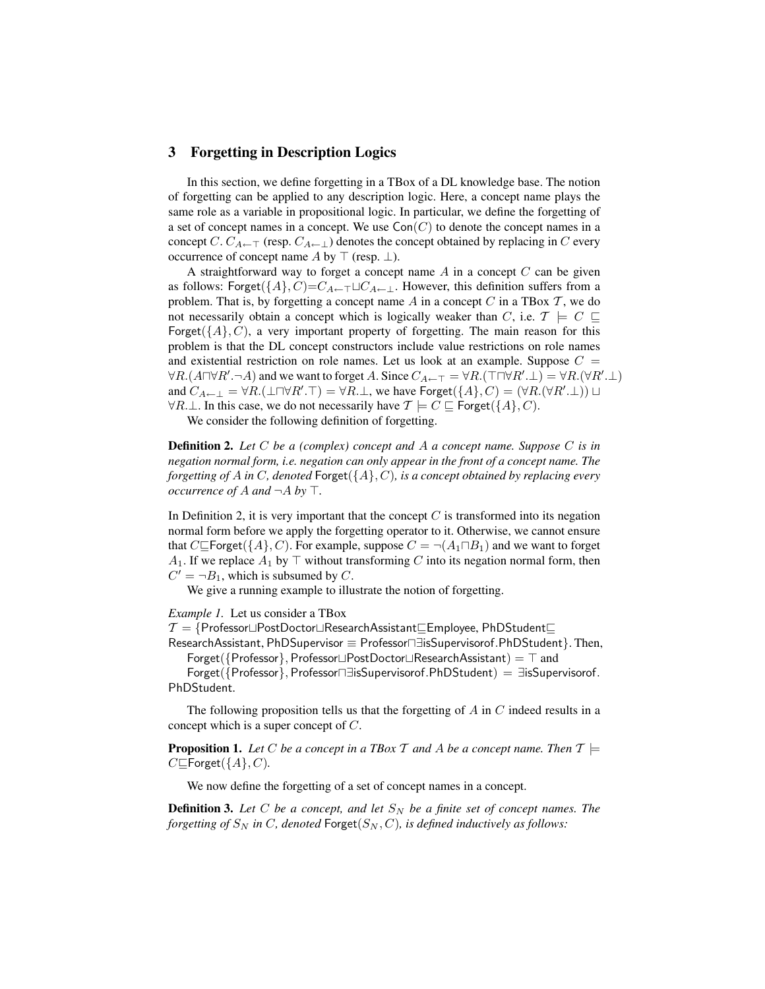## 3 Forgetting in Description Logics

In this section, we define forgetting in a TBox of a DL knowledge base. The notion of forgetting can be applied to any description logic. Here, a concept name plays the same role as a variable in propositional logic. In particular, we define the forgetting of a set of concept names in a concept. We use  $Con(C)$  to denote the concept names in a concept C.  $C_{A \leftarrow \top}$  (resp.  $C_{A \leftarrow \bot}$ ) denotes the concept obtained by replacing in C every occurrence of concept name A by  $\top$  (resp.  $\bot$ ).

A straightforward way to forget a concept name  $A$  in a concept  $C$  can be given as follows: Forget( $\{A\}$ , C)= $C_{A\leftarrow\top} \sqcup C_{A\leftarrow\bot}$ . However, this definition suffers from a problem. That is, by forgetting a concept name  $A$  in a concept  $C$  in a TBox  $T$ , we do not necessarily obtain a concept which is logically weaker than C, i.e.  $\mathcal{T} \models C \sqsubseteq$ Forget( $\{A\}$ , C), a very important property of forgetting. The main reason for this problem is that the DL concept constructors include value restrictions on role names and existential restriction on role names. Let us look at an example. Suppose  $C =$  $\forall R. (A \sqcap \forall R'. \neg A)$  and we want to forget A. Since  $C_{A \leftarrow \top} = \forall R. (\top \sqcap \forall R'. \bot) = \forall R. (\forall R'. \bot)$ and  $C_{A \leftarrow \perp} = \forall R.(\perp \Box \forall R'.\top) = \forall R.\perp$ , we have  $\text{Forest}(\{A\}, C) = (\forall R.(\forall R'.\perp)) \sqcup$  $\forall R \perp$ . In this case, we do not necessarily have  $\mathcal{T} \models C \sqsubseteq$  Forget({A}, C).

We consider the following definition of forgetting.

Definition 2. *Let* C *be a (complex) concept and* A *a concept name. Suppose* C *is in negation normal form, i.e. negation can only appear in the front of a concept name. The forgetting of* A *in* C*, denoted* Forget({A}, C)*, is a concept obtained by replacing every occurrence of A and*  $\neg A$  *by*  $\top$ .

In Definition 2, it is very important that the concept  $C$  is transformed into its negation normal form before we apply the forgetting operator to it. Otherwise, we cannot ensure that  $C \subseteq$  Forget({A}, C). For example, suppose  $C = \neg(A_1 \sqcap B_1)$  and we want to forget  $A_1$ . If we replace  $A_1$  by  $\top$  without transforming C into its negation normal form, then  $C' = \neg B_1$ , which is subsumed by C.

We give a running example to illustrate the notion of forgetting.

*Example 1.* Let us consider a TBox

 $\mathcal{T} = \{\mathsf{Professor} \sqcup \mathsf{Post Doctor} \sqcup \mathsf{ResearchAssistant} \sqsubseteq \mathsf{Employee},\, \mathsf{PhDStudent} \sqsubseteq$ 

ResearchAssistant, PhDSupervisor ≡ Professor⊓∃isSupervisorof.PhDStudent}. Then, Forget( ${Prefessor}$ , Professor $\Box Post Doctor \Box ResearchAssistant$ ) = T and

Forget({Professor}, Professor $\Box$ isSupervisorof.PhDStudent) =  $\exists$ isSupervisorof. PhDStudent.

The following proposition tells us that the forgetting of  $A$  in  $C$  indeed results in a concept which is a super concept of C.

**Proposition 1.** Let C be a concept in a TBox T and A be a concept name. Then  $T \models$  $C \subseteq$ Forget({ $A$ }, C).

We now define the forgetting of a set of concept names in a concept.

**Definition 3.** Let C be a concept, and let  $S_N$  be a finite set of concept names. The *forgetting of*  $S_N$  *in*  $C$ *, denoted*  $\text{Forget}(S_N, C)$ *, is defined inductively as follows:*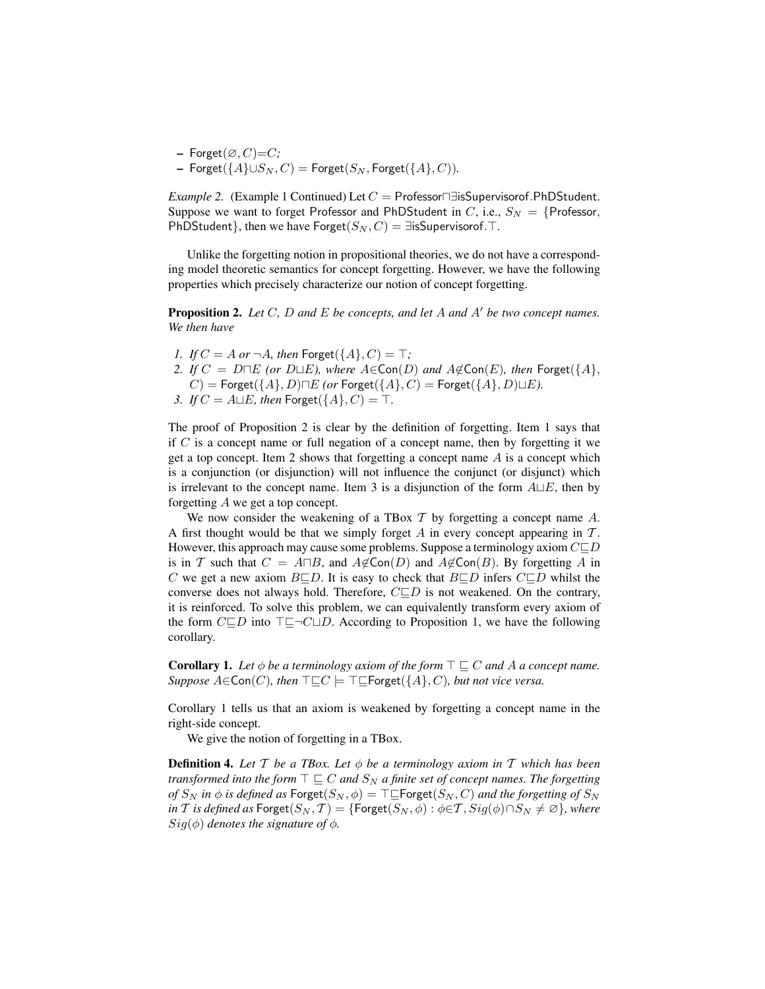$-$  Forget $(\varnothing, C)=C$ ; – Forget( ${A}$ )∪ $S_N$ ,  $C$ ) = Forget( $S_N$ , Forget( ${A}$ ,  $C$ )).

*Example 2.* (Example 1 Continued) Let  $C =$  Professor $\Box$  isSupervisorof.PhDStudent. Suppose we want to forget Professor and PhDStudent in C, i.e.,  $S_N = \{Professor,$ PhDStudent}, then we have Forget( $S_N$ ,  $C$ ) = ∃isSupervisorof. $\top$ .

Unlike the forgetting notion in propositional theories, we do not have a corresponding model theoretic semantics for concept forgetting. However, we have the following properties which precisely characterize our notion of concept forgetting.

**Proposition 2.** Let C, D and E be concepts, and let A and A' be two concept names. *We then have*

- *1. If*  $C = A$  *or*  $\neg A$ *, then* Forget( $\{A\}$ *, C*) =  $\top$ *;*
- *2. If*  $C = D ∩ E$  *(or D*∟*E), where*  $A ∈ \text{Con}(D)$  *and*  $A ∉ \text{Con}(E)$ *, then*  $\text{Forget}({A},$  $C$  = Forget({ $A$ }, D) $\neg E$  *(or* Forget({ $A$ },  $C$ ) = Forget({ $A$ }, D) $\sqcup E$ ).
- *3. If*  $C = A \sqcup E$ *, then* Forget( $\{A\}$ *, C*) =  $\top$ *.*

The proof of Proposition 2 is clear by the definition of forgetting. Item 1 says that if  $C$  is a concept name or full negation of a concept name, then by forgetting it we get a top concept. Item 2 shows that forgetting a concept name  $\vec{A}$  is a concept which is a conjunction (or disjunction) will not influence the conjunct (or disjunct) which is irrelevant to the concept name. Item 3 is a disjunction of the form  $A \sqcup E$ , then by forgetting A we get a top concept.

We now consider the weakening of a TBox  $T$  by forgetting a concept name  $A$ . A first thought would be that we simply forget  $A$  in every concept appearing in  $T$ . However, this approach may cause some problems. Suppose a terminology axiom  $C \subseteq D$ is in T such that  $C = A \square B$ , and  $A \notin \text{Con}(D)$  and  $A \notin \text{Con}(B)$ . By forgetting A in C we get a new axiom  $B\subseteq D$ . It is easy to check that  $B\subseteq D$  infers  $C\subseteq D$  whilst the converse does not always hold. Therefore,  $C \square D$  is not weakened. On the contrary, it is reinforced. To solve this problem, we can equivalently transform every axiom of the form  $C \square D$  into  $\square \square C \square D$ . According to Proposition 1, we have the following corollary.

**Corollary 1.** Let  $\phi$  be a terminology axiom of the form  $\top \sqsubseteq C$  and A a concept name. *Suppose*  $A \in \text{Con}(C)$ *, then*  $\top \sqsubseteq C \models \top \sqsubseteq \text{Forget}(\{A\}, C)$ *, but not vice versa.* 

Corollary 1 tells us that an axiom is weakened by forgetting a concept name in the right-side concept.

We give the notion of forgetting in a TBox.

Definition 4. *Let* T *be a TBox. Let* φ *be a terminology axiom in* T *which has been transformed into the form*  $\top \sqsubseteq C$  *and*  $S_N$  *a finite set of concept names. The forgetting of*  $S_N$  *in*  $\phi$  *is defined as* Forget( $S_N$ ,  $\phi$ ) =  $\top \subseteq$  Forget( $S_N$ , C) and the forgetting of  $S_N$ *in T is defined as* Forget $(S_N, \mathcal{T}) = \{ \text{Forget}(S_N, \phi) : \phi \in \mathcal{T}, \text{Sig}(\phi) \cap S_N \neq \emptyset \}$ *, where*  $Sig(\phi)$  *denotes the signature of*  $\phi$ *.*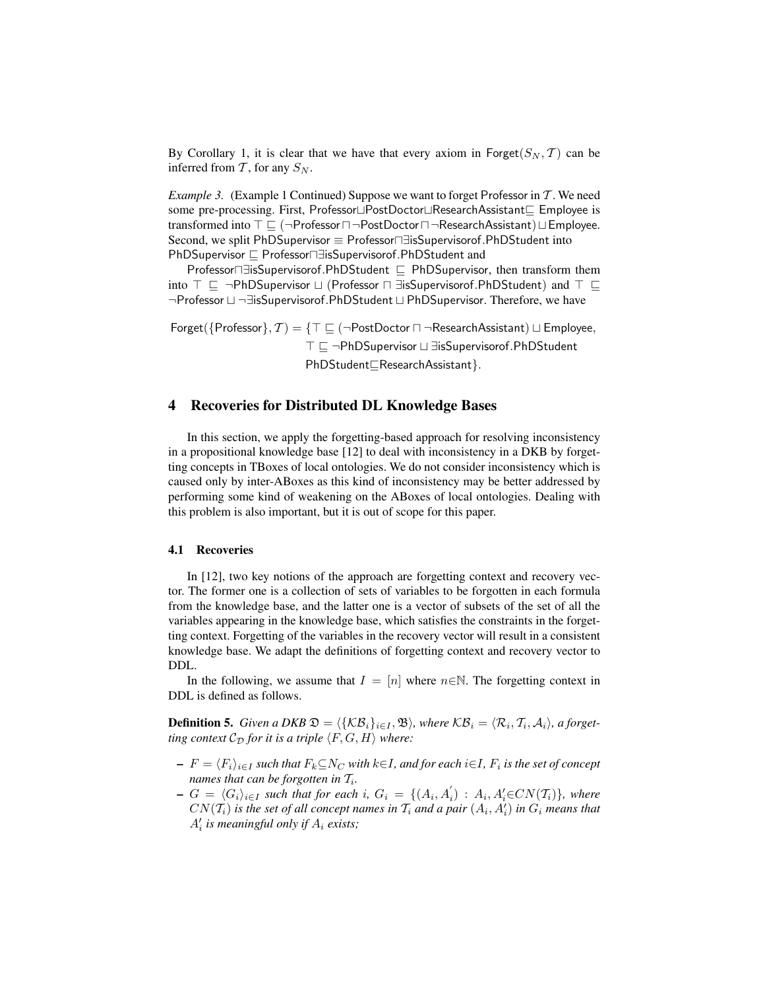By Corollary 1, it is clear that we have that every axiom in Forget( $S_N, \mathcal{T}$ ) can be inferred from  $T$ , for any  $S_N$ .

*Example 3.* (Example 1 Continued) Suppose we want to forget Professor in T. We need some pre-processing. First, Professor $\Box$ PostDoctor $\Box$ ResearchAssistant $\Box$  Employee is transformed into  $\top \sqsubseteq (\neg$ Professor $\sqcap \neg$ PostDoctor $\sqcap \neg$ ResearchAssistant)  $\sqcup$ Employee. Second, we split PhDSupervisor ≡ Professor ∃isSupervisor of PhDStudent into PhDSupervisor  $\sqsubseteq$  Professor $\sqcap \exists$ isSupervisorof.PhDStudent and

Professor⊓∃isSupervisorof.PhDStudent  $\sqsubseteq$  PhDSupervisor, then transform them into  $\top \sqsubseteq \neg \text{PhDSupervisor } \sqcup$  (Professor  $\sqcap \exists$ isSupervisorof.PhDStudent) and  $\top \sqsubseteq$ ¬Professor  $\sqcup$  ¬∃isSupervisorof.PhDStudent  $\sqcup$  PhDSupervisor. Therefore, we have

Forget( $\{Professor\}$ ,  $\mathcal{T}) = \{T \sqsubseteq (\neg Post Doctor \sqcap \neg ResearchAssignment) \sqcup Employee,$ T ⊑ ¬PhDSupervisor L ∃isSupervisorof.PhDStudent PhDStudent<sub>EResearchAssistant</sub>}.

## 4 Recoveries for Distributed DL Knowledge Bases

In this section, we apply the forgetting-based approach for resolving inconsistency in a propositional knowledge base [12] to deal with inconsistency in a DKB by forgetting concepts in TBoxes of local ontologies. We do not consider inconsistency which is caused only by inter-ABoxes as this kind of inconsistency may be better addressed by performing some kind of weakening on the ABoxes of local ontologies. Dealing with this problem is also important, but it is out of scope for this paper.

### 4.1 Recoveries

In [12], two key notions of the approach are forgetting context and recovery vector. The former one is a collection of sets of variables to be forgotten in each formula from the knowledge base, and the latter one is a vector of subsets of the set of all the variables appearing in the knowledge base, which satisfies the constraints in the forgetting context. Forgetting of the variables in the recovery vector will result in a consistent knowledge base. We adapt the definitions of forgetting context and recovery vector to DDL.

In the following, we assume that  $I = [n]$  where  $n \in \mathbb{N}$ . The forgetting context in DDL is defined as follows.

**Definition 5.** *Given a DKB*  $\mathfrak{D} = \langle \{ \mathcal{KB}_i \}_{i \in I}, \mathfrak{B} \rangle$ *, where*  $\mathcal{KB}_i = \langle \mathcal{R}_i, \mathcal{T}_i, \mathcal{A}_i \rangle$ *, a forgetting context*  $\mathcal{C}_{\mathcal{D}}$  *for it is a triple*  $\langle F, G, H \rangle$  *where:* 

- $F = \langle F_i \rangle_{i \in I}$  *such that*  $F_k \subseteq N_C$  *with k* $\in$ *I*, *and for each i* $\in$ *I*,  $F_i$  *is the set of concept names that can be forgotten in*  $\mathcal{T}_i$ *.*
- $-G = \langle G_i \rangle_{i \in I}$  *such that for each* i*,*  $G_i = \{(A_i, A'_i) : A_i, A'_i \in CN(T_i)\}\$ *, where*  $CN(\mathcal{T}_i)$  is the set of all concept names in  $\mathcal{T}_i$  and a pair  $(A_i, A'_i)$  in  $G_i$  means that  $A_i'$  is meaningful only if  $A_i$  exists;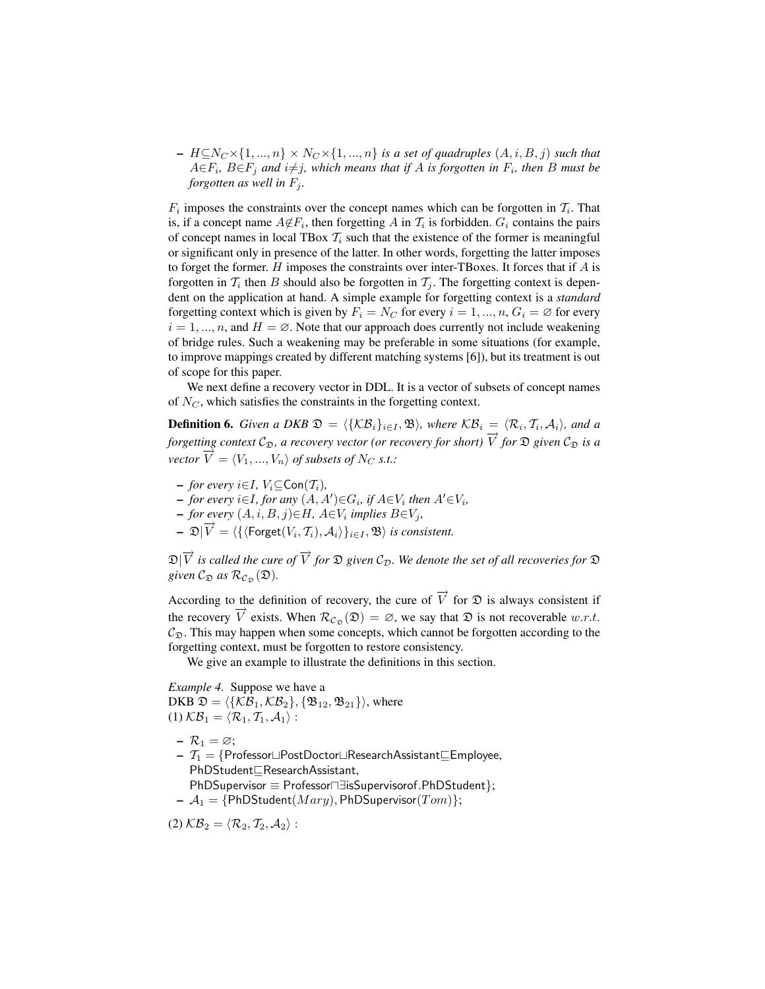$- H \subseteq N_C \times \{1, ..., n\} \times N_C \times \{1, ..., n\}$  *is a set of quadruples*  $(A, i, B, j)$  *such that*  $A \in F_i$ ,  $B \in F_j$  and  $i \neq j$ , which means that if  $A$  is forgotten in  $F_i$ , then  $B$  must be *forgotten as well in*  $F_i$ .

 $F_i$  imposes the constraints over the concept names which can be forgotten in  $T_i$ . That is, if a concept name  $A \notin F_i$ , then forgetting A in  $\mathcal{T}_i$  is forbidden.  $G_i$  contains the pairs of concept names in local TBox  $T_i$  such that the existence of the former is meaningful or significant only in presence of the latter. In other words, forgetting the latter imposes to forget the former.  $H$  imposes the constraints over inter-TBoxes. It forces that if  $A$  is forgotten in  $T_i$  then B should also be forgotten in  $T_j$ . The forgetting context is dependent on the application at hand. A simple example for forgetting context is a *standard* forgetting context which is given by  $F_i = N_C$  for every  $i = 1, ..., n$ ,  $G_i = \emptyset$  for every  $i = 1, ..., n$ , and  $H = \emptyset$ . Note that our approach does currently not include weakening of bridge rules. Such a weakening may be preferable in some situations (for example, to improve mappings created by different matching systems [6]), but its treatment is out of scope for this paper.

We next define a recovery vector in DDL. It is a vector of subsets of concept names of  $N_C$ , which satisfies the constraints in the forgetting context.

**Definition 6.** *Given a DKB*  $\mathfrak{D} = \langle {\{\mathcal{KB}_i\}}_{i\in I}, \mathfrak{B} \rangle$ *, where*  $\mathcal{KB}_i = \langle \mathcal{R}_i, \mathcal{T}_i, \mathcal{A}_i \rangle$ *, and a forgetting context*  $C_{\mathfrak{D}}$ *, a recovery vector (or recovery for short)*  $\overrightarrow{V}$  *for*  $\mathfrak{D}$  *given*  $C_{\mathfrak{D}}$  *is a vector*  $\overrightarrow{V} = \langle V_1, ..., V_n \rangle$  *of subsets of*  $N_C$  *s.t.:* 

- $-$  *for every*  $i \in I$ ,  $V_i \subset \text{Con}(\mathcal{T}_i)$ ,
- $\rightarrow$  *for every*  $i \in I$ *, for any*  $(A, A') \in G_i$ *, if*  $A \in V_i$  *then*  $A' \in V_i$ *,*
- $\rightarrow$  *for every*  $(A, i, B, j) \in H$ *, A*∈ $V_i$  *implies*  $B \in V_j$ *,*
- $\mathfrak{D}[\overrightarrow{V}] = \langle \{ (\text{forget}(V_i, T_i), A_i) \}_{i \in I}, \mathfrak{B} \rangle$  *is consistent.*

 $\mathfrak{D}|\overrightarrow{V}$  is called the cure of  $\overrightarrow{V}$  for  $\mathfrak D$  given  $\mathcal{C}_{\mathcal D}.$  We denote the set of all recoveries for  $\mathfrak D$ *given*  $C_{\mathfrak{D}}$  *as*  $\mathcal{R}_{C_{\mathfrak{D}}}(\mathfrak{D})$ *.* 

According to the definition of recovery, the cure of  $\overrightarrow{V}$  for  $\mathfrak D$  is always consistent if the recovery  $\vec{V}$  exists. When  $\mathcal{R}_{C_{\mathfrak{D}}}(\mathfrak{D}) = \emptyset$ , we say that  $\mathfrak{D}$  is not recoverable w.r.t.  $C_{\mathfrak{D}}$ . This may happen when some concepts, which cannot be forgotten according to the forgetting context, must be forgotten to restore consistency.

We give an example to illustrate the definitions in this section.

*Example 4.* Suppose we have a DKB  $\mathfrak{D} = \langle \{\mathcal{KB}_1, \mathcal{KB}_2\}, \{\mathfrak{B}_{12}, \mathfrak{B}_{21}\}\rangle$ , where (1)  $\mathcal{KB}_1 = \langle \mathcal{R}_1, \mathcal{T}_1, \mathcal{A}_1 \rangle$  :

- $\mathcal{R}_1 = \varnothing;$
- $I T_1 = \{Professor \sqcup Post Doctor \sqcup ResearchAssistant \sqsubseteq Employee,$ PhDStudent<sub>EResearchAssistant,</sub>
- $PhDSupervisor \equiv Professor \exists isSupervisor of . PhDStudent};$  $\mathcal{A}_1 = \{PhDStudent(Mary), PhDSupervisor(Tom)\};$
- (2)  $\mathcal{KB}_2 = \langle \mathcal{R}_2, \mathcal{T}_2, \mathcal{A}_2 \rangle$ :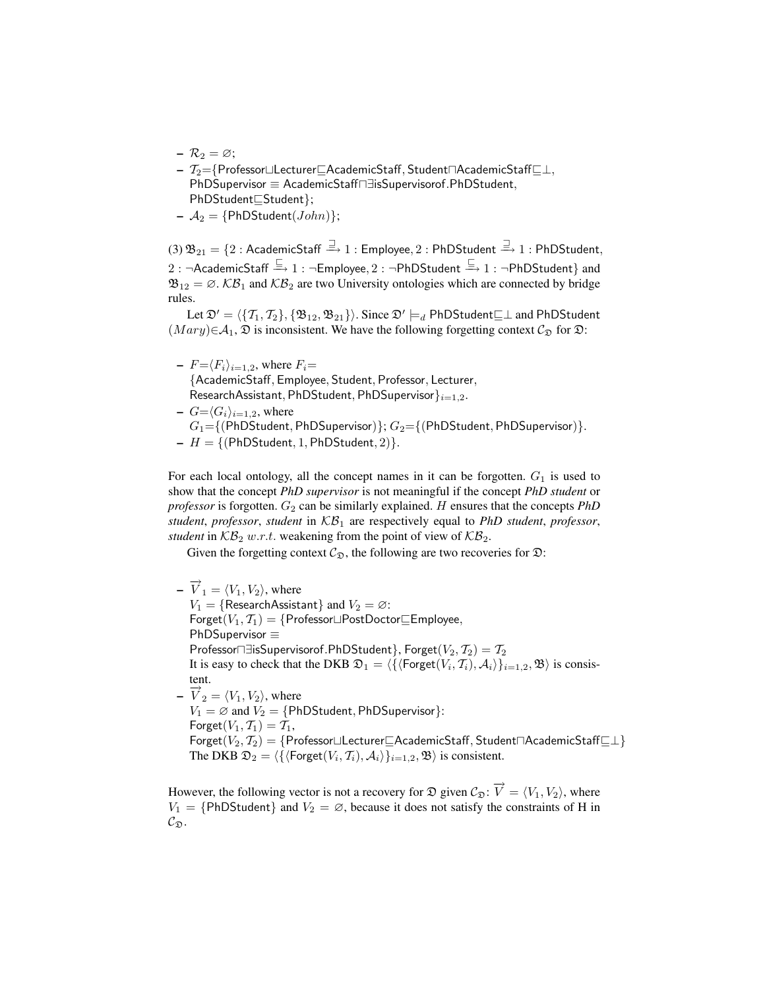- $\mathcal{R}_2 = \varnothing;$
- $T_2$  = {Professor $\sqcup$ Lecturer $\sqsubseteq$ AcademicStaff, Student $\sqcap$ AcademicStaff $\sqsubseteq \bot$ , PhDSupervisor ≡ AcademicStaff<sub>n</sub> disSupervisorof.PhDStudent,  $PhDStudent \subseteq Student$ };
- $A_2$  = {PhDStudent(*John*)};

 $(3)\,\mathfrak{B}_{21}=\{2:\mathsf{AcademicStar}\stackrel{\rightrightarrows}{\rightarrow} 1:\mathsf{Employee},2:\mathsf{PhDStudent}\stackrel{\rightrightarrows}{\rightarrow} 1:\mathsf{PhDStudent},$  $2: \neg$ AcademicStaff  $\stackrel{\sqsubseteq}{\longrightarrow} 1: \neg \mathsf{Emboyee}, 2: \neg \mathsf{PhDStudent} \stackrel{\sqsubseteq}{\longrightarrow} 1: \neg \mathsf{PhDStudent}\}$  and  $\mathfrak{B}_{12} = \emptyset$ .  $\mathcal{KB}_1$  and  $\mathcal{KB}_2$  are two University ontologies which are connected by bridge rules.

Let  $\mathfrak{D}' = \langle \{ \mathcal{T}_1, \mathcal{T}_2 \}, \{ \mathfrak{B}_{12}, \mathfrak{B}_{21} \} \rangle$ . Since  $\mathfrak{D}' \models_d \mathsf{PhDStudent} \sqsubseteq \perp$  and <code>PhDStudent</code>  $(Mary) \in A_1$ ,  $\mathfrak D$  is inconsistent. We have the following forgetting context  $\mathcal C_{\mathfrak D}$  for  $\mathfrak D$ :

- $-F=\langle F_i \rangle_{i=1,2}$ , where  $F_i=$ {AcademicStaff, Employee, Student, Professor, Lecturer, ResearchAssistant, PhDStudent, PhDSupervisor ${}_{i=1,2}$ .
- $-G=\langle G_i \rangle_{i=1,2}$ , where  $G_1 = \{(\text{PhDStudent}, \text{PhDSupervisor})\}; G_2 = \{(\text{PhDStudent}, \text{PhDSupervisor})\}.$  $-H = \{(\text{PhDStudent}, 1, \text{PhDStudent}, 2)\}.$

For each local ontology, all the concept names in it can be forgotten.  $G_1$  is used to show that the concept *PhD supervisor* is not meaningful if the concept *PhD student* or *professor* is forgotten.  $G_2$  can be similarly explained. H ensures that the concepts  $PhD$ *student*, *professor*, *student* in KB<sup>1</sup> are respectively equal to *PhD student*, *professor*, *student* in  $\mathcal{KB}_2$  w.r.t. weakening from the point of view of  $\mathcal{KB}_2$ .

Given the forgetting context  $\mathcal{C}_{\mathfrak{D}}$ , the following are two recoveries for  $\mathfrak{D}$ :

 $-\overrightarrow{V}_1 = \langle V_1, V_2 \rangle$ , where  $V_1 = \{ResearchAssignment\}$  and  $V_2 = \emptyset$ :  $\mathsf{forget}(V_1, \mathcal{T}_1) = \{\mathsf{Professor} \sqcup \mathsf{Post Doctor} \sqsubseteq \mathsf{Employee},$ PhDSupervisor ≡ Professor $\Box$ EisSupervisorof.PhDStudent}, Forget $(V_2, \mathcal{T}_2) = \mathcal{T}_2$ It is easy to check that the DKB  $\mathfrak{D}_1 = \langle \{\langle \text{Forget}(V_i, \mathcal{T}_i), \mathcal{A}_i \rangle \}_{i=1,2}, \mathfrak{B} \rangle$  is consistent.  $-\overrightarrow{V}_2 = \langle V_1, V_2 \rangle$ , where  $V_1 = \emptyset$  and  $V_2 = \{PhDStudent, PhDSupervisor\}$ : Forget $(V_1, \mathcal{T}_1) = \mathcal{T}_1$ , Forget(V<sub>2</sub>, T<sub>2</sub>) = {Professor⊔Lecturer $\subseteq$ AcademicStaff, Student $\sqcap$ AcademicStaff $\sqsubseteq \perp$ } The DKB  $\mathfrak{D}_2 = \langle \{\langle \mathsf{Forget}(V_i, \mathcal{T}_i), \mathcal{A}_i \rangle \}_{i=1,2}, \mathfrak{B} \rangle$  is consistent.

However, the following vector is not a recovery for  $\mathfrak D$  given  $\mathcal C_{\mathfrak D}$ :  $\overrightarrow{V} = \langle V_1, V_2 \rangle$ , where  $V_1 = {PhDStudent}$  and  $V_2 = \emptyset$ , because it does not satisfy the constraints of H in  $\mathcal{C}_{\mathfrak{D}}.$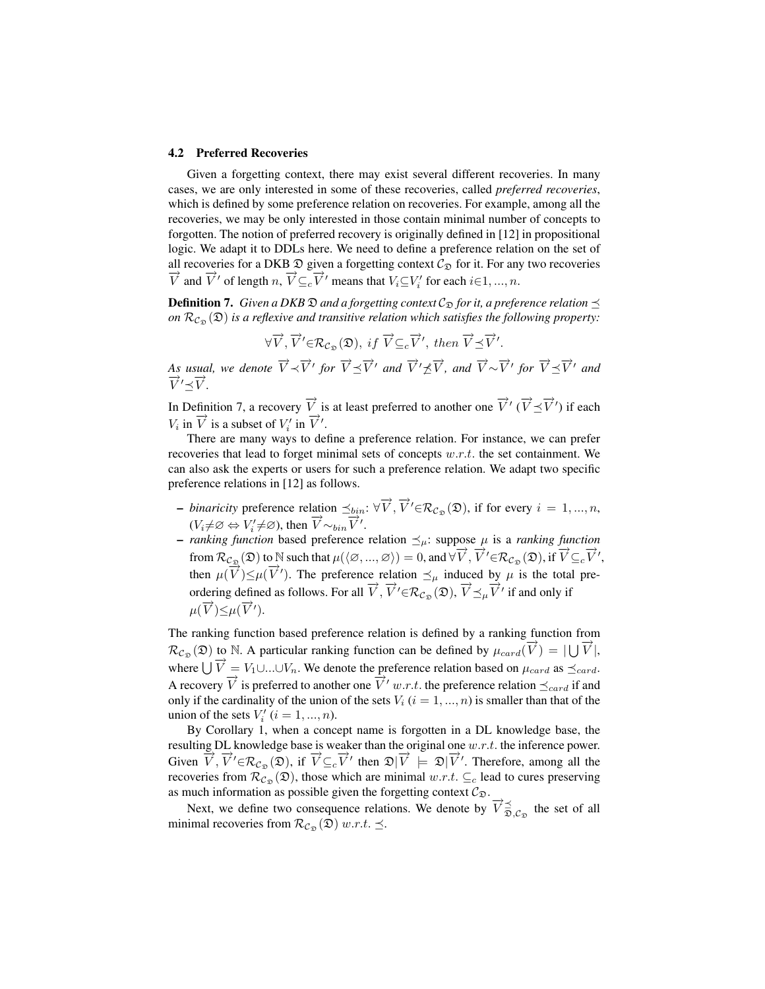#### 4.2 Preferred Recoveries

Given a forgetting context, there may exist several different recoveries. In many cases, we are only interested in some of these recoveries, called *preferred recoveries*, which is defined by some preference relation on recoveries. For example, among all the recoveries, we may be only interested in those contain minimal number of concepts to forgotten. The notion of preferred recovery is originally defined in [12] in propositional logic. We adapt it to DDLs here. We need to define a preference relation on the set of all recoveries for a DKB  $\mathfrak D$  given a forgetting context  $\mathcal C_{\mathfrak D}$  for it. For any two recoveries  $\overrightarrow{V}$  and  $\overrightarrow{V}'$  of length n,  $\overrightarrow{V} \subseteq_C \overrightarrow{V}'$  means that  $V_i \subseteq V'_i$  for each  $i \in 1, ..., n$ .

**Definition 7.** *Given a DKB*  $\mathfrak D$  *and a forgetting context*  $\mathcal C_{\mathfrak D}$  *for it, a preference relation*  $\preceq$ *on*  $\mathcal{R}_{\mathcal{C}_{\mathcal{D}}}(\mathfrak{D})$  *is a reflexive and transitive relation which satisfies the following property:* 

$$
\forall \overrightarrow{V}, \overrightarrow{V}' \in \mathcal{R}_{\mathcal{C}_{\mathfrak{D}}}(\mathfrak{D}), \; \text{if} \; \overrightarrow{V} \subseteq_c \overrightarrow{V}', \; \text{then} \; \overrightarrow{V} \preceq \overrightarrow{V}'.
$$

*As usual, we denote*  $\overrightarrow{V} \prec \overrightarrow{V}'$  for  $\overrightarrow{V} \preceq \overrightarrow{V}'$  and  $\overrightarrow{V}' \not\preceq \overrightarrow{V}$ , and  $\overrightarrow{V} \sim \overrightarrow{V}'$  for  $\overrightarrow{V} \preceq \overrightarrow{V}'$  and  $\overrightarrow{V}' \preceq \overrightarrow{V}$ .

In Definition 7, a recovery  $\overrightarrow{V}$  is at least preferred to another one  $\overrightarrow{V}'$  ( $\overrightarrow{V} \preceq \overrightarrow{V}'$ ) if each  $V_i$  in  $\overrightarrow{V}$  is a subset of  $V'_i$  in  $\overrightarrow{V}'$ .

There are many ways to define a preference relation. For instance, we can prefer recoveries that lead to forget minimal sets of concepts  $w.r.t.$  the set containment. We can also ask the experts or users for such a preference relation. We adapt two specific preference relations in [12] as follows.

- $−~binarity$  preference relation  $\preceq_{bin}$ : ∀ $\overrightarrow{V}$ ,  $\overrightarrow{V}' \in \mathcal{R}_{\mathcal{C}_{\mathfrak{D}}}(\mathfrak{D})$ , if for every  $i = 1, ..., n$ ,  $(V_i \neq \emptyset \Leftrightarrow V'_i \neq \emptyset)$ , then  $\overrightarrow{V} \sim_{bin} \overrightarrow{V}'$ .
- *ranking function* based preference relation  $\leq_{\mu}$ : suppose  $\mu$  is a *ranking function* from  $\mathcal{R}_{\mathcal{C}_{\mathfrak{D}}}(\mathfrak{D})$  to N such that  $\mu(\langle \emptyset, ..., \emptyset \rangle) = 0$ , and  $\forall \overrightarrow{V}, \overrightarrow{V}' \in \mathcal{R}_{\mathcal{C}_{\mathfrak{D}}}(\mathfrak{D})$ , if  $\overrightarrow{V} \subseteq_{c} \overrightarrow{V}'$ , then  $\mu(\overrightarrow{V}) \leq \mu(\overrightarrow{V}')$ . The preference relation  $\preceq_{\mu}$  induced by  $\mu$  is the total preordering defined as follows. For all  $\overrightarrow{V}$ ,  $\overrightarrow{V}' \in \mathcal{R}_{C_{\mathfrak{D}}}(\mathfrak{D})$ ,  $\overrightarrow{V} \preceq_{\mu} \overrightarrow{V}'$  if and only if  $\mu(\overrightarrow{V}) \leq \mu(\overrightarrow{V}').$

The ranking function based preference relation is defined by a ranking function from  $\mathcal{R}_{C_{\mathfrak{D}}}(\mathfrak{D})$  to N. A particular ranking function can be defined by  $\mu_{card}(\vec{V}) = |\bigcup \vec{V}|$ , where  $\iiint \vec{V} = V_1 \cup ... \cup V_n$ . We denote the preference relation based on  $\mu_{card}$  as  $\preceq_{card}$ . A recovery  $\overrightarrow{V}$  is preferred to another one  $\overrightarrow{V}' w.r.t.$  the preference relation  $\preceq_{card}$  if and only if the cardinality of the union of the sets  $V_i$  ( $i = 1, ..., n$ ) is smaller than that of the union of the sets  $V_i'$   $(i = 1, ..., n)$ .

By Corollary 1, when a concept name is forgotten in a DL knowledge base, the resulting DL knowledge base is weaker than the original one  $w.r.t.$  the inference power. Given  $\overrightarrow{V}$ ,  $\overrightarrow{V}' \in \mathcal{R}_{C_{\mathfrak{D}}}(\mathfrak{D})$ , if  $\overrightarrow{V} \subseteq_c \overrightarrow{V}'$  then  $\mathfrak{D}|\overrightarrow{V} \models \mathfrak{D}|\overrightarrow{V}'$ . Therefore, among all the recoveries from  $\mathcal{R}_{\mathcal{C}_{\infty}}(\mathfrak{D})$ , those which are minimal  $w.r.t. \subseteq_{c}$  lead to cures preserving as much information as possible given the forgetting context  $C_{\mathfrak{D}}$ .

Next, we define two consequence relations. We denote by  $\overrightarrow{V}_{\overrightarrow{D},\mathcal{C}_{\mathfrak{D}}}$  the set of all minimal recoveries from  $\mathcal{R}_{\mathcal{C}_{\mathfrak{D}}}(\mathfrak{D})$  w.r.t.  $\preceq$ .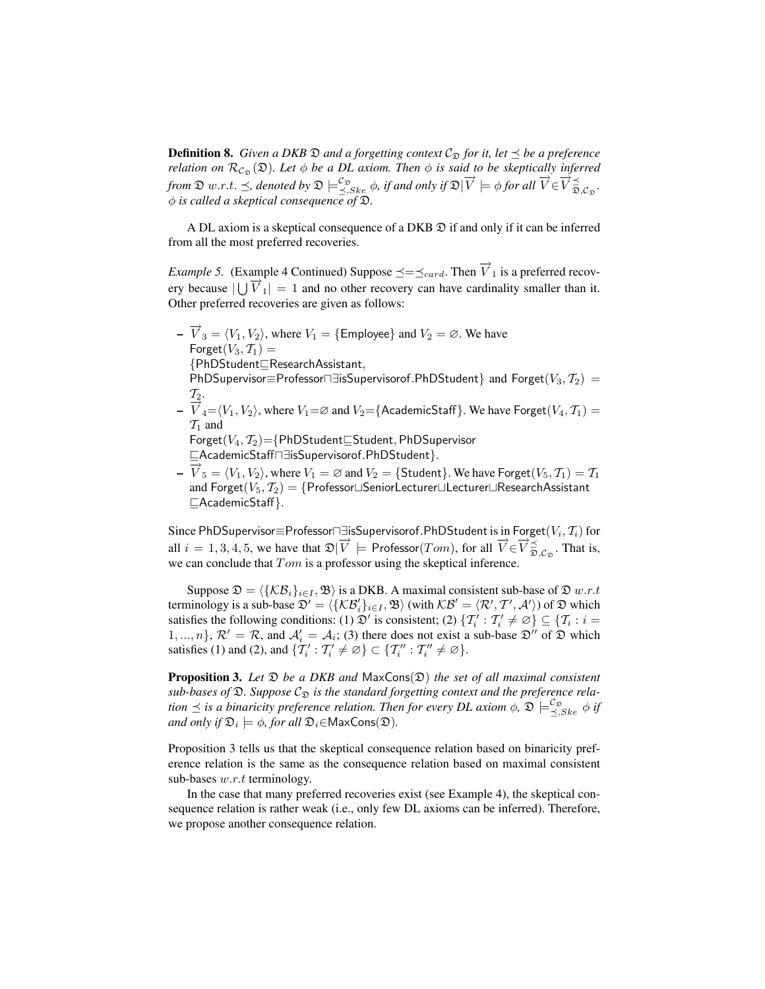**Definition 8.** *Given a DKB*  $\mathfrak D$  *and a forgetting context*  $\mathcal{C}_{\mathfrak D}$  *for it, let*  $\preceq$  *be a preference relation on*  $\mathcal{R}_{\mathcal{C}_{\mathfrak{D}}}(\mathfrak{D})$ *. Let*  $\phi$  *be a DL axiom. Then*  $\phi$  *is said to be skeptically inferred from*  $\mathfrak{D}$  w.r.t.  $\preceq$ , denoted by  $\mathfrak{D} \models_{\preceq, Ske}^{\mathcal{L}_{\mathfrak{D}}} \phi$ , *if and only if*  $\mathfrak{D}|\vec{V} \models \phi$  *for all*  $\vec{V} \in \vec{V} \vec{p}$ ,  $\vec{q}_{\mathfrak{D},\mathcal{L}_{\mathfrak{D}}}$ . φ *is called a skeptical consequence of* D*.*

A DL axiom is a skeptical consequence of a DKB D if and only if it can be inferred from all the most preferred recoveries.

*Example 5.* (Example 4 Continued) Suppose  $\preceq=\preceq_{card}$ . Then  $\overrightarrow{V}_1$  is a preferred recov-Example 5. (Example 1 command) suppose  $\frac{d}{dx} - \frac{d}{dx}$  from  $V_1$  is a preferred recovery ears have cardinality smaller than it. Other preferred recoveries are given as follows:

- $-\overrightarrow{V}_3 = \langle V_1, V_2 \rangle$ , where  $V_1 = \{\text{Employee}\}$  and  $V_2 = \emptyset$ . We have  $F$ orget $(V_3, T_1) =$ {PhDStudent<sub>EResearchAssistant,</sub> PhDSupervisor≡Professor $\Box \exists$ isSupervisorof.PhDStudent} and Forget $(V_3, \mathcal{T}_2)$  =  $\mathcal{T}_2$ .  $-\overline{V}_4 = \langle V_1, V_2 \rangle$ , where  $V_1 = \varnothing$  and  $V_2 =$ {AcademicStaff}. We have Forget $(V_4, \mathcal{T}_1) =$  $\mathcal{T}_1$  and  $\mathsf{Forget}(V_4,\mathcal{T}_2) = \{\mathsf{PhDStudent} \subseteq \mathsf{Student}, \mathsf{PhDSupervisor}\}$ vAcademicStaffu∃isSupervisorof.PhDStudent}.  $-\vec{V}_5 = \langle V_1, V_2 \rangle$ , where  $V_1 = \emptyset$  and  $V_2 = \{\text{Student}\}\)$ . We have Forget $(V_5, \mathcal{T}_1) = \mathcal{T}_1$
- and  $\mathsf{e}$ ret $(V_5,\mathcal{T}_2)=\{\mathsf{Professor}\sqcup\mathsf{SeniorLecturer}\sqcup\mathsf{Lecturer}\sqcup\mathsf{ResearchAssistant}\}$  $\Box$ AcademicStaff }.

Since <code>PhDSupervisor $\equiv$ Professor $\sqcap \exists$ isSupervisorof.PhDStudent</code> is in <code>Forget( $V_i, \mathcal{T}_i)$ </code> for all  $i = 1, 3, 4, 5$ , we have that  $\mathfrak{D}|\vec{V}| = \text{Professor}(Tom)$ , for all  $\vec{V} \in \vec{V} \vec{v}_{\vec{D}, \mathcal{C}_{\mathfrak{D}}}$ . That is, we can conclude that  $Tom$  is a professor using the skeptical inference.

Suppose  $\mathfrak{D} = \langle \{KB_i\}_{i \in I}, \mathfrak{B} \rangle$  is a DKB. A maximal consistent sub-base of  $\mathfrak{D} w.r.t$ terminology is a sub-base  $\mathfrak{D}' = \langle \{ \mathcal{KB}_i' \}_{i \in I}, \mathfrak{B} \rangle$  (with  $\mathcal{KB}' = \langle \mathcal{R}', \mathcal{T}', \mathcal{A}' \rangle$ ) of  $\mathfrak{D}$  which satisfies the following conditions: (1)  $\mathfrak{D}'$  is consistent; (2)  $\{T'_i : T'_i \neq \emptyset\} \subseteq \{T_i : i =$  $1, ..., n$ ,  $\mathcal{R}' = \mathcal{R}$ , and  $\mathcal{A}'_i = \mathcal{A}_i$ ; (3) there does not exist a sub-base  $\mathcal{D}''$  of  $\mathcal{D}$  which satisfies (1) and (2), and  $\{T'_i: T'_i \neq \emptyset\} \subset \{T''_i: T''_i \neq \emptyset\}.$ 

Proposition 3. Let  $\mathfrak D$  *be a DKB and* MaxCons( $\mathfrak D$ ) *the set of all maximal consistent*  $sub-bases$  of  $\mathfrak{D}$ . Suppose  $\mathcal{C}_{\mathfrak{D}}$  *is the standard forgetting context and the preference relation*  $\preceq$  *is a binaricity preference relation. Then for every DL axiom*  $\phi$ *,*  $\mathfrak{D} \models^{\mathcal{C}_{\mathfrak{D}}}_{\preceq, Ske} \phi$  *if* and only if  $\mathfrak{D}_i \models \phi$ , for all  $\mathfrak{D}_i{\in}\mathsf{MaxCons}(\mathfrak{D}).$ 

Proposition 3 tells us that the skeptical consequence relation based on binaricity preference relation is the same as the consequence relation based on maximal consistent sub-bases  $w.r.t$  terminology.

In the case that many preferred recoveries exist (see Example 4), the skeptical consequence relation is rather weak (i.e., only few DL axioms can be inferred). Therefore, we propose another consequence relation.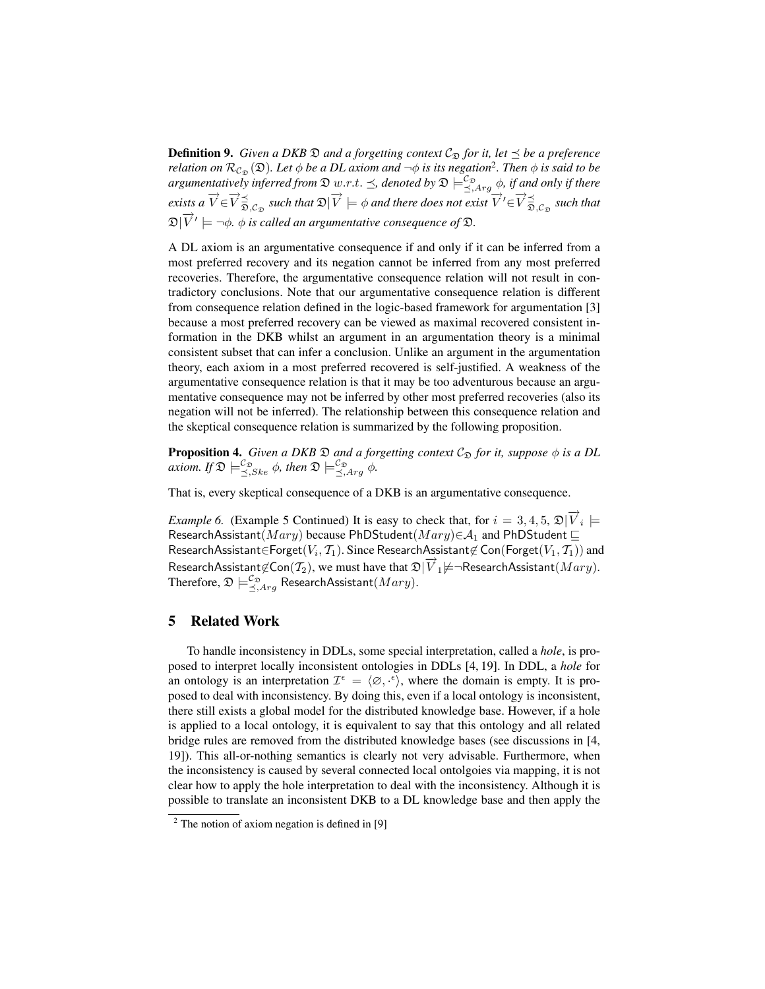**Definition 9.** *Given a DKB*  $\mathfrak D$  *and a forgetting context*  $\mathcal{C}_{\mathfrak D}$  *for it, let*  $\preceq$  *be a preference relation on*  $\mathcal{R}_{\mathcal{C}_{\mathfrak{D}}}(\mathfrak{D})$ *. Let*  $\phi$  *be a DL axiom and*  $\neg\phi$  *is its negation<sup>2</sup>. Then*  $\phi$  *is said to be argumentatively inferred from*  $\mathfrak{D}$  w.r.t.  $\preceq$ , denoted by  $\mathfrak{D} \models^{\mathcal{C}_\mathfrak{D}}_{\preceq, Arg}$   $\phi$ , if and only if there  $\overrightarrow{V} \in \overrightarrow{V} \preceq_{\overrightarrow{D}, C_{\mathfrak{D}}}$  such that  $\mathfrak{D} | \overrightarrow{V} | = \phi$  and there does not exist  $\overrightarrow{V}' \in \overrightarrow{V} \preceq_{\overrightarrow{D}, C_{\mathfrak{D}}}$  such that  $\mathfrak{D}|\overrightarrow{V}'\models \neg \phi$ .  $\phi$  is called an argumentative consequence of  $\mathfrak{D}$ .

A DL axiom is an argumentative consequence if and only if it can be inferred from a most preferred recovery and its negation cannot be inferred from any most preferred recoveries. Therefore, the argumentative consequence relation will not result in contradictory conclusions. Note that our argumentative consequence relation is different from consequence relation defined in the logic-based framework for argumentation [3] because a most preferred recovery can be viewed as maximal recovered consistent information in the DKB whilst an argument in an argumentation theory is a minimal consistent subset that can infer a conclusion. Unlike an argument in the argumentation theory, each axiom in a most preferred recovered is self-justified. A weakness of the argumentative consequence relation is that it may be too adventurous because an argumentative consequence may not be inferred by other most preferred recoveries (also its negation will not be inferred). The relationship between this consequence relation and the skeptical consequence relation is summarized by the following proposition.

**Proposition 4.** *Given a DKB*  $\mathfrak D$  *and a forgetting context*  $\mathcal C_{\mathfrak D}$  *for it, suppose*  $\phi$  *is a DL*  $axiom.$  If  $\mathfrak{D} \models^{\mathcal{C}_{\mathfrak{D}}}_{\preceq, \leq k e} \phi$ , then  $\mathfrak{D} \models^{\mathcal{C}_{\mathfrak{D}}}_{\preceq, \text{Arg}} \phi$ .

That is, every skeptical consequence of a DKB is an argumentative consequence.

*Example 6.* (Example 5 Continued) It is easy to check that, for  $i = 3, 4, 5, \mathcal{D}|\vec{V}_i|$ ResearchAssistant( $Mary$ ) because PhDStudent( $Mary$ ) $\in A_1$  and PhDStudent  $\sqsubseteq$ ResearchAssistant∈Forget $(V_i,\mathcal{T}_1).$  Since ResearchAssistant∉ Con(Forget $(V_1,\mathcal{T}_1))$  and ResearchAssistant $\notin \text{Con}(\mathcal{T}_2)$ , we must have that  $\mathfrak{D}|\vec{V}_1 \not\models \neg \text{ResearchAssistant}(Mary)$ . Therefore,  $\mathfrak{D} \models^{\mathcal{C}_{\mathfrak{D}}}_{\preceq, Arg}$  ResearchAssistant $(Mary).$ 

## 5 Related Work

To handle inconsistency in DDLs, some special interpretation, called a *hole*, is proposed to interpret locally inconsistent ontologies in DDLs [4, 19]. In DDL, a *hole* for an ontology is an interpretation  $\mathcal{I}^{\epsilon} = \langle \emptyset, \cdot^{\epsilon} \rangle$ , where the domain is empty. It is proposed to deal with inconsistency. By doing this, even if a local ontology is inconsistent, there still exists a global model for the distributed knowledge base. However, if a hole is applied to a local ontology, it is equivalent to say that this ontology and all related bridge rules are removed from the distributed knowledge bases (see discussions in [4, 19]). This all-or-nothing semantics is clearly not very advisable. Furthermore, when the inconsistency is caused by several connected local ontolgoies via mapping, it is not clear how to apply the hole interpretation to deal with the inconsistency. Although it is possible to translate an inconsistent DKB to a DL knowledge base and then apply the

 $2$  The notion of axiom negation is defined in [9]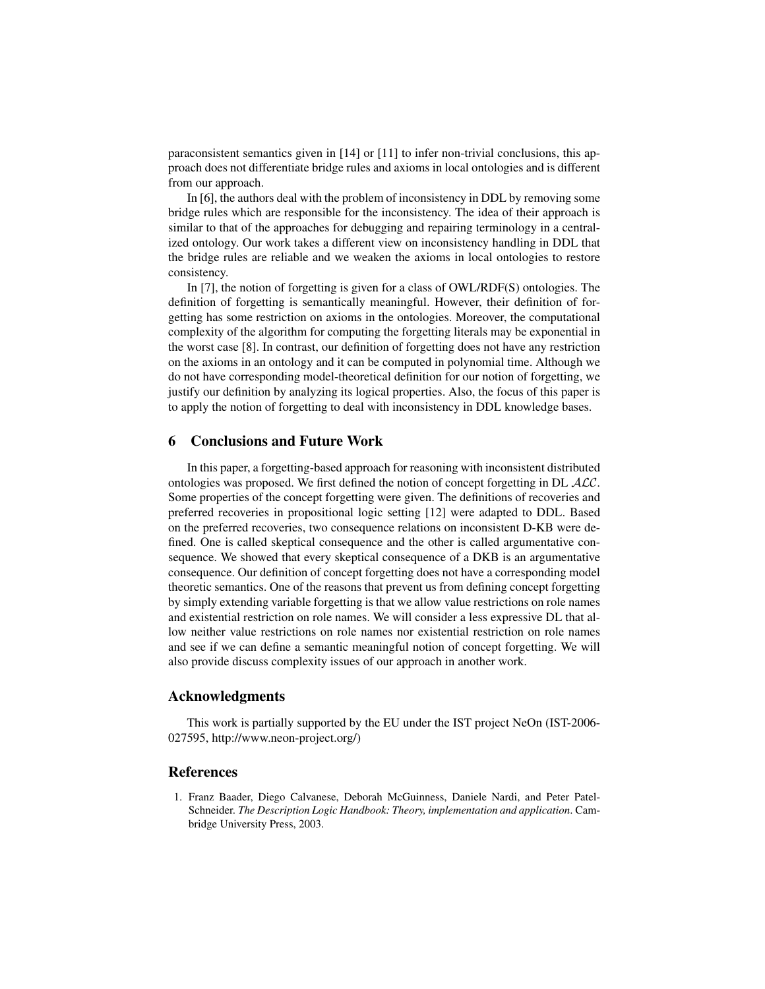paraconsistent semantics given in  $[14]$  or  $[11]$  to infer non-trivial conclusions, this approach does not differentiate bridge rules and axioms in local ontologies and is different from our approach.

In [6], the authors deal with the problem of inconsistency in DDL by removing some bridge rules which are responsible for the inconsistency. The idea of their approach is similar to that of the approaches for debugging and repairing terminology in a centralized ontology. Our work takes a different view on inconsistency handling in DDL that the bridge rules are reliable and we weaken the axioms in local ontologies to restore consistency.

In [7], the notion of forgetting is given for a class of OWL/RDF(S) ontologies. The definition of forgetting is semantically meaningful. However, their definition of forgetting has some restriction on axioms in the ontologies. Moreover, the computational complexity of the algorithm for computing the forgetting literals may be exponential in the worst case [8]. In contrast, our definition of forgetting does not have any restriction on the axioms in an ontology and it can be computed in polynomial time. Although we do not have corresponding model-theoretical definition for our notion of forgetting, we justify our definition by analyzing its logical properties. Also, the focus of this paper is to apply the notion of forgetting to deal with inconsistency in DDL knowledge bases.

## 6 Conclusions and Future Work

In this paper, a forgetting-based approach for reasoning with inconsistent distributed ontologies was proposed. We first defined the notion of concept forgetting in DL ALC. Some properties of the concept forgetting were given. The definitions of recoveries and preferred recoveries in propositional logic setting [12] were adapted to DDL. Based on the preferred recoveries, two consequence relations on inconsistent D-KB were defined. One is called skeptical consequence and the other is called argumentative consequence. We showed that every skeptical consequence of a DKB is an argumentative consequence. Our definition of concept forgetting does not have a corresponding model theoretic semantics. One of the reasons that prevent us from defining concept forgetting by simply extending variable forgetting is that we allow value restrictions on role names and existential restriction on role names. We will consider a less expressive DL that allow neither value restrictions on role names nor existential restriction on role names and see if we can define a semantic meaningful notion of concept forgetting. We will also provide discuss complexity issues of our approach in another work.

## Acknowledgments

This work is partially supported by the EU under the IST project NeOn (IST-2006- 027595, http://www.neon-project.org/)

## References

1. Franz Baader, Diego Calvanese, Deborah McGuinness, Daniele Nardi, and Peter Patel-Schneider. *The Description Logic Handbook: Theory, implementation and application*. Cambridge University Press, 2003.